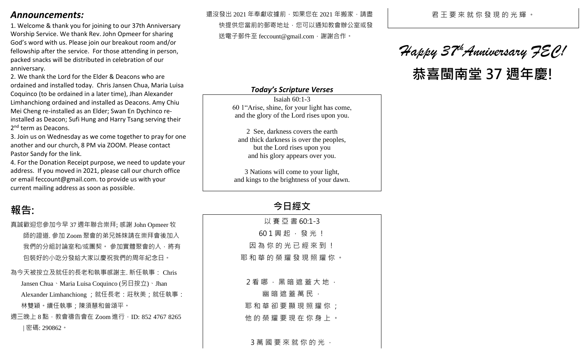### *Announcements:*

1. Welcome & thank you for joining to our 37th Anniversary Worship Service. We thank Rev. John Opmeer for sharing God's word with us. Please join our breakout room and/or fellowship after the service. For those attending in person, packed snacks will be distributed in celebration of our anniversary.

2. We thank the Lord for the Elder & Deacons who are ordained and installed today. Chris Jansen Chua, Maria Luisa Coquinco (to be ordained in a later time), Jhan Alexander Limhanchiong ordained and installed as Deacons. Amy Chiu Mei Cheng re-installed as an Elder; Swan En Dychinco reinstalled as Deacon; Sufi Hung and Harry Tsang serving their 2<sup>nd</sup> term as Deacons.

3. Join us on Wednesday as we come together to pray for one another and our church, 8 PM via ZOOM. Please contact Pastor Sandy for the link.

4. For the Donation Receipt purpose, we need to update your address. If you moved in 2021, please call our church office or email feccount@gmail.com. to provide us with your current mailing address as soon as possible.

## **報告:**

真誠歡迎您參加今早 37 週年聯合崇拜; 感謝 John Opmeer 牧 師的證道. 參加 Zoom 聚會的弟兄姊妹請在崇拜會後加入 我們的分組討論室和/或團契。 參加實體聚會的人,將有 包裝好的小吃分發給大家以慶祝我們的周年紀念日。

為今天被按立及就任的長老和執事感謝主. 新任執事: Chris Jansen Chua、Maria Luisa Coquinco (另日按立)、Jhan Alexander Limhanchiong ; 就任長老: 莊秋美; 就任執事: 林雙穎。續任執事;陳須慧和曾頌平。

週三晚上 8 點, 教會禱告會在 Zoom 進行, ID: 852 4767 8265 | 密碼: 290862。

還沒發出 2021 年奉獻收據前, 如果您在 2021 年搬家, 請盡 快提供您當前的郵寄地址,您可以通知教會辦公室或發

送電子郵件至 feccount@gmail.com, 謝謝合作。

#### *Today's Scripture Verses*

Isaiah 60:1-3 60 1"Arise, shine, for your light has come, and the glory of the Lord rises upon you.

2 See, darkness covers the earth and thick darkness is over the peoples, but the Lord rises upon you and his glory appears over you.

3 Nations will come to your light, and kings to the brightness of your dawn.

## **今日經文**

| 以 賽 亞 書 60:1-3          |
|-------------------------|
| $601$ 興 起 , 發 光 !       |
| 因 為 你 的 光 已 經 來 到 !     |
| 耶 和 華 的 榮 耀 發 現 照 耀 你 。 |
|                         |
| $2$ 看 哪 , 黑 暗 遮 蓋 大 地 , |
| 幽 暗 遮 蓋 萬 民 ,           |
| 耶 和 華 卻 要 顯 現 照 耀 你 :   |
| 他 的 榮 耀 要 現 在 你 身 上 。   |
|                         |
| 3萬 國 要 來 就 你 的 光 ,      |

#### 君 王 要 來 就 你 發 現 的 光 輝 。

# *Happy 37thAnniversary FEC!* **恭喜閩南堂 37 週年慶!**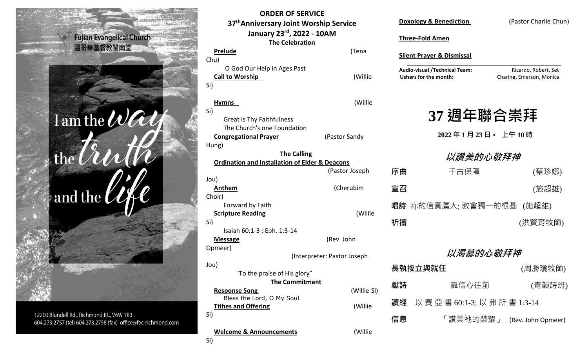

12200 Blundell Rd., Richmond BC, V6W 1B3 604.273.2757 (tel) 604.273.2758 (fax) office@fec-richmond.com

| UKDEK OF SEKVILE<br>37 <sup>th</sup> Anniversary Joint Worship Service |                             |  |  |
|------------------------------------------------------------------------|-----------------------------|--|--|
| January 23rd, 2022 - 10AM                                              |                             |  |  |
| <b>The Celebration</b>                                                 |                             |  |  |
| <b>Prelude</b>                                                         | (Tena                       |  |  |
| Chu)                                                                   |                             |  |  |
| O God Our Help in Ages Past                                            |                             |  |  |
| <b>Call to Worship</b>                                                 | (Willie                     |  |  |
| Si)                                                                    |                             |  |  |
| <b>Hymns</b>                                                           | (Willie                     |  |  |
| Si)                                                                    |                             |  |  |
| <b>Great is Thy Faithfulness</b>                                       |                             |  |  |
| The Church's one Foundation                                            |                             |  |  |
| <b>Congregational Prayer</b>                                           | (Pastor Sandy               |  |  |
| Hung)                                                                  |                             |  |  |
| <b>The Calling</b>                                                     |                             |  |  |
| <b>Ordination and Installation of Elder &amp; Deacons</b>              | (Pastor Joseph              |  |  |
| Jou)                                                                   |                             |  |  |
| Anthem                                                                 | (Cherubim                   |  |  |
| Choir)                                                                 |                             |  |  |
| Forward by Faith                                                       |                             |  |  |
| <b>Scripture Reading</b>                                               | (Willie                     |  |  |
| Si)                                                                    |                             |  |  |
| Isaiah 60:1-3 ; Eph. 1:3-14                                            |                             |  |  |
| <b>Message</b>                                                         | (Rev. John                  |  |  |
| Opmeer)                                                                |                             |  |  |
| Jou)                                                                   | (Interpreter: Pastor Joseph |  |  |
| "To the praise of His glory"                                           |                             |  |  |
| <b>The Commitment</b>                                                  |                             |  |  |
| <b>Response Song</b><br>Bless the Lord, O My Soul                      | (Willie Si)                 |  |  |
| <b>Tithes and Offering</b>                                             | (Willie                     |  |  |
| Si)                                                                    |                             |  |  |
| <b>Welcome &amp; Announcements</b>                                     | (Willie                     |  |  |

**ORDER OF SERVICE**

| <b>Doxology &amp; Benediction</b>                             |                  | (Pastor Charlie Chun)                            |  |  |
|---------------------------------------------------------------|------------------|--------------------------------------------------|--|--|
| <b>Three-Fold Amen</b>                                        |                  |                                                  |  |  |
| <b>Silent Prayer &amp; Dismissal</b>                          |                  |                                                  |  |  |
| <b>Audio-visual /Technical Team:</b><br>Ushers for the month: |                  | Ricardo, Robert, Set<br>Charine, Emerson, Monica |  |  |
|                                                               |                  |                                                  |  |  |
| 37 週年聯合崇拜                                                     |                  |                                                  |  |  |
|                                                               |                  |                                                  |  |  |
|                                                               | 2022年1月23日•上午10時 |                                                  |  |  |
| 以讚美的心敬拜神                                                      |                  |                                                  |  |  |
| 序曲                                                            | 千古保障             | (蔡珍娜)                                            |  |  |
| 宣召                                                            |                  | (施超雄)                                            |  |  |
|                                                               |                  | 唱詩 祢的信實廣大;教會獨一的根基 (施超雄)                          |  |  |
| 祈禱                                                            |                  | (洪賢育牧師)                                          |  |  |
|                                                               |                  |                                                  |  |  |
| 以渴慕的心敬拜神                                                      |                  |                                                  |  |  |
| 長執按立與就任                                                       |                  | (周勝瓊牧帥)                                          |  |  |
| 獻詩                                                            | 靠信心往前            | (青韻詩班)                                           |  |  |
| 讀經 以 賽 亞 書 60:1-3; 以 弗 所 書 1:3-14                             |                  |                                                  |  |  |
| 信息                                                            |                  | 「讚美祂的榮耀」 (Rev. John Opmeer)                      |  |  |
|                                                               |                  |                                                  |  |  |